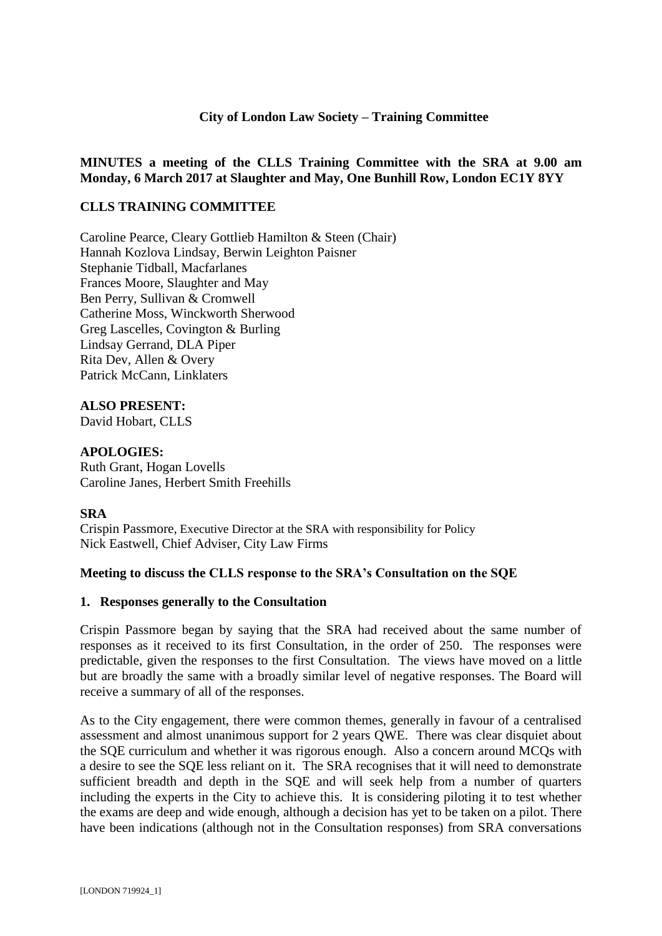#### **City of London Law Society – Training Committee**

## **MINUTES a meeting of the CLLS Training Committee with the SRA at 9.00 am Monday, 6 March 2017 at Slaughter and May, One Bunhill Row, London EC1Y 8YY**

## **CLLS TRAINING COMMITTEE**

Caroline Pearce, Cleary Gottlieb Hamilton & Steen (Chair) Hannah Kozlova Lindsay, Berwin Leighton Paisner Stephanie Tidball, Macfarlanes Frances Moore, Slaughter and May Ben Perry, Sullivan & Cromwell Catherine Moss, Winckworth Sherwood Greg Lascelles, Covington & Burling Lindsay Gerrand, DLA Piper Rita Dev, Allen & Overy Patrick McCann, Linklaters

**ALSO PRESENT:** David Hobart, CLLS

#### **APOLOGIES:**

Ruth Grant, Hogan Lovells Caroline Janes, Herbert Smith Freehills

#### **SRA**

Crispin Passmore, Executive Director at the SRA with responsibility for Policy Nick Eastwell, Chief Adviser, City Law Firms

#### **Meeting to discuss the CLLS response to the SRA's Consultation on the SQE**

#### **1. Responses generally to the Consultation**

Crispin Passmore began by saying that the SRA had received about the same number of responses as it received to its first Consultation, in the order of 250. The responses were predictable, given the responses to the first Consultation. The views have moved on a little but are broadly the same with a broadly similar level of negative responses. The Board will receive a summary of all of the responses.

As to the City engagement, there were common themes, generally in favour of a centralised assessment and almost unanimous support for 2 years QWE. There was clear disquiet about the SQE curriculum and whether it was rigorous enough. Also a concern around MCQs with a desire to see the SQE less reliant on it. The SRA recognises that it will need to demonstrate sufficient breadth and depth in the SQE and will seek help from a number of quarters including the experts in the City to achieve this. It is considering piloting it to test whether the exams are deep and wide enough, although a decision has yet to be taken on a pilot. There have been indications (although not in the Consultation responses) from SRA conversations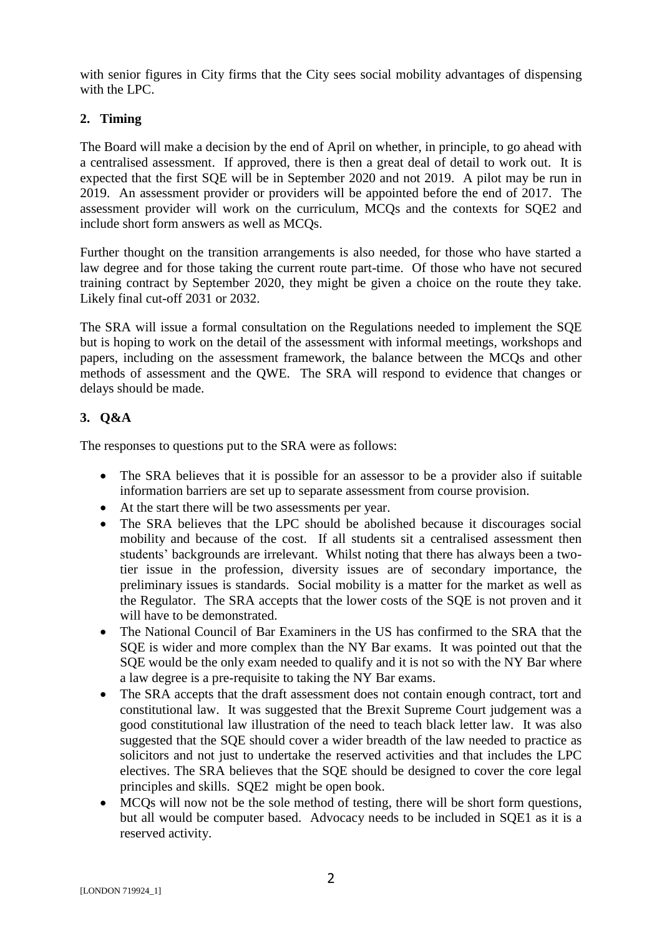with senior figures in City firms that the City sees social mobility advantages of dispensing with the LPC.

# **2. Timing**

The Board will make a decision by the end of April on whether, in principle, to go ahead with a centralised assessment. If approved, there is then a great deal of detail to work out. It is expected that the first SQE will be in September 2020 and not 2019. A pilot may be run in 2019. An assessment provider or providers will be appointed before the end of 2017. The assessment provider will work on the curriculum, MCQs and the contexts for SQE2 and include short form answers as well as MCQs.

Further thought on the transition arrangements is also needed, for those who have started a law degree and for those taking the current route part-time. Of those who have not secured training contract by September 2020, they might be given a choice on the route they take. Likely final cut-off 2031 or 2032.

The SRA will issue a formal consultation on the Regulations needed to implement the SQE but is hoping to work on the detail of the assessment with informal meetings, workshops and papers, including on the assessment framework, the balance between the MCQs and other methods of assessment and the QWE. The SRA will respond to evidence that changes or delays should be made.

# **3. Q&A**

The responses to questions put to the SRA were as follows:

- The SRA believes that it is possible for an assessor to be a provider also if suitable information barriers are set up to separate assessment from course provision.
- At the start there will be two assessments per year.
- The SRA believes that the LPC should be abolished because it discourages social mobility and because of the cost. If all students sit a centralised assessment then students' backgrounds are irrelevant. Whilst noting that there has always been a twotier issue in the profession, diversity issues are of secondary importance, the preliminary issues is standards. Social mobility is a matter for the market as well as the Regulator. The SRA accepts that the lower costs of the SQE is not proven and it will have to be demonstrated.
- The National Council of Bar Examiners in the US has confirmed to the SRA that the SQE is wider and more complex than the NY Bar exams. It was pointed out that the SQE would be the only exam needed to qualify and it is not so with the NY Bar where a law degree is a pre-requisite to taking the NY Bar exams.
- The SRA accepts that the draft assessment does not contain enough contract, tort and constitutional law. It was suggested that the Brexit Supreme Court judgement was a good constitutional law illustration of the need to teach black letter law. It was also suggested that the SQE should cover a wider breadth of the law needed to practice as solicitors and not just to undertake the reserved activities and that includes the LPC electives. The SRA believes that the SQE should be designed to cover the core legal principles and skills. SQE2 might be open book.
- MCQs will now not be the sole method of testing, there will be short form questions, but all would be computer based. Advocacy needs to be included in SQE1 as it is a reserved activity.